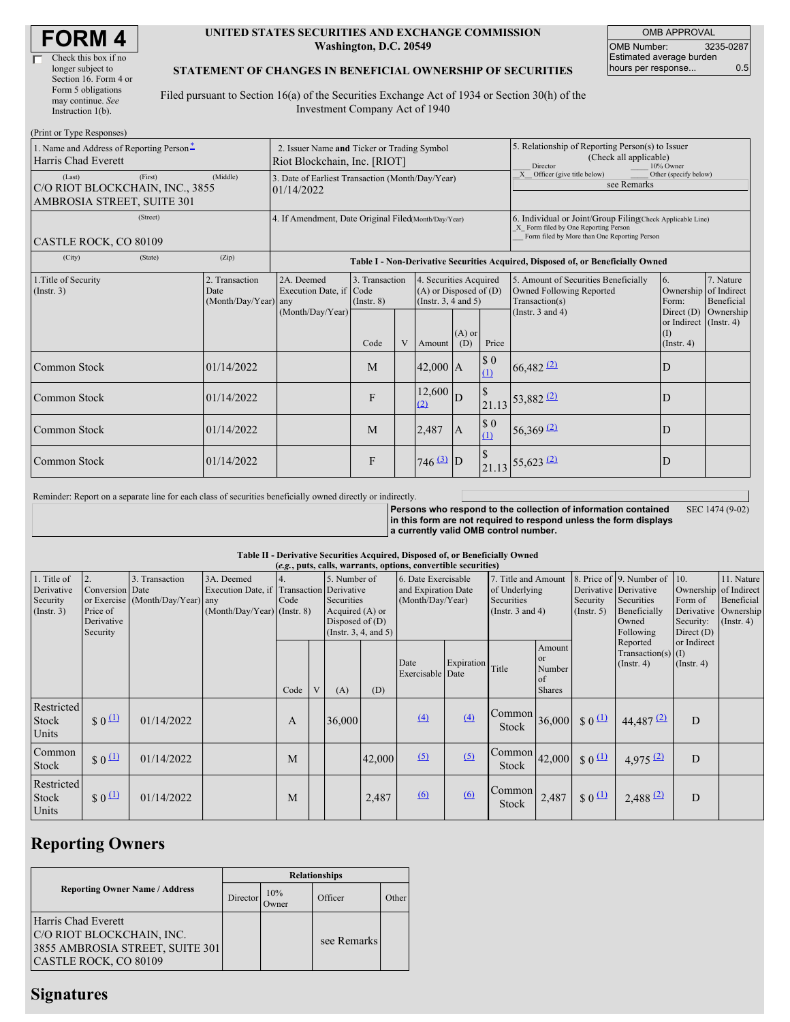| <b>FORM4</b> |
|--------------|
|--------------|

#### **UNITED STATES SECURITIES AND EXCHANGE COMMISSION Washington, D.C. 20549**

OMB APPROVAL OMB Number: 3235-0287 Estimated average burden hours per response... 0.5

### **STATEMENT OF CHANGES IN BENEFICIAL OWNERSHIP OF SECURITIES**

Filed pursuant to Section 16(a) of the Securities Exchange Act of 1934 or Section 30(h) of the Investment Company Act of 1940

| (Print or Type Responses)                                                          |                                                |                                                                                  |                                           |   |                                                                                  |                 |                                                                                                     |                                                                                                                                                    |                                                      |                         |  |
|------------------------------------------------------------------------------------|------------------------------------------------|----------------------------------------------------------------------------------|-------------------------------------------|---|----------------------------------------------------------------------------------|-----------------|-----------------------------------------------------------------------------------------------------|----------------------------------------------------------------------------------------------------------------------------------------------------|------------------------------------------------------|-------------------------|--|
| 1. Name and Address of Reporting Person-<br>Harris Chad Everett                    |                                                | 2. Issuer Name and Ticker or Trading Symbol<br>Riot Blockchain, Inc. [RIOT]      |                                           |   |                                                                                  |                 | 5. Relationship of Reporting Person(s) to Issuer<br>(Check all applicable)<br>Director<br>10% Owner |                                                                                                                                                    |                                                      |                         |  |
| (First)<br>(Last)<br>C/O RIOT BLOCKCHAIN, INC., 3855<br>AMBROSIA STREET, SUITE 301 | (Middle)                                       | 3. Date of Earliest Transaction (Month/Day/Year)<br>01/14/2022                   |                                           |   |                                                                                  |                 | $X$ Officer (give title below)<br>Other (specify below)<br>see Remarks                              |                                                                                                                                                    |                                                      |                         |  |
| (Street)<br>CASTLE ROCK, CO 80109                                                  |                                                | 4. If Amendment, Date Original Filed(Month/Day/Year)                             |                                           |   |                                                                                  |                 |                                                                                                     | 6. Individual or Joint/Group Filing(Check Applicable Line)<br>X Form filed by One Reporting Person<br>Form filed by More than One Reporting Person |                                                      |                         |  |
| (City)<br>(State)                                                                  | (Zip)                                          | Table I - Non-Derivative Securities Acquired, Disposed of, or Beneficially Owned |                                           |   |                                                                                  |                 |                                                                                                     |                                                                                                                                                    |                                                      |                         |  |
| 1. Title of Security<br>(Insert. 3)                                                | 2. Transaction<br>Date<br>(Month/Day/Year) any | 2A. Deemed<br>Execution Date, if                                                 | 3. Transaction<br>Code<br>$($ Instr. $8)$ |   | 4. Securities Acquired<br>$(A)$ or Disposed of $(D)$<br>(Instr. $3, 4$ and $5$ ) |                 |                                                                                                     | 5. Amount of Securities Beneficially<br>Owned Following Reported<br>Transaction(s)                                                                 | 6.<br>Ownership of Indirect<br>Form:<br>Direct $(D)$ | 7. Nature<br>Beneficial |  |
|                                                                                    |                                                | (Month/Day/Year)                                                                 | Code                                      | V | Amount                                                                           | $(A)$ or<br>(D) | Price                                                                                               | (Instr. $3$ and $4$ )                                                                                                                              | or Indirect (Instr. 4)<br>(1)<br>(Insert. 4)         | Ownership               |  |
| Common Stock                                                                       | 01/14/2022                                     |                                                                                  | M                                         |   | $42,000$ A                                                                       |                 | $\boldsymbol{\mathsf{S}}$ 0<br>(1)                                                                  | $66,482$ <sup>(2)</sup>                                                                                                                            | D                                                    |                         |  |
| Common Stock                                                                       | 01/14/2022                                     |                                                                                  | F                                         |   | 12,600<br>(2)                                                                    | D               | $\sqrt{3}$                                                                                          | $21.13 \overline{)53,882 \overline{2}}$                                                                                                            | D                                                    |                         |  |
| Common Stock                                                                       | 01/14/2022                                     |                                                                                  | M                                         |   | 2,487                                                                            | $\overline{A}$  | $\$$ 0<br>$\Omega$                                                                                  | 56,369 $(2)$                                                                                                                                       | D                                                    |                         |  |
| Common Stock                                                                       | 01/14/2022                                     |                                                                                  | F                                         |   | $746^{(3)}$ D                                                                    |                 |                                                                                                     | $21.13 \overline{)55,623 \overline{22}}$                                                                                                           | D                                                    |                         |  |

Reminder: Report on a separate line for each class of securities beneficially owned directly or indirectly.

**Persons who respond to the collection of information contained in this form are not required to respond unless the form displays a currently valid OMB control number.** SEC 1474 (9-02)

### **Table II - Derivative Securities Acquired, Disposed of, or Beneficially Owned**

| (e.g., puts, calls, warrants, options, convertible securities) |                                 |                                  |                                           |              |   |                       |        |                          |            |                                                                                |                                                          |                                |                                                      |                                 |                  |
|----------------------------------------------------------------|---------------------------------|----------------------------------|-------------------------------------------|--------------|---|-----------------------|--------|--------------------------|------------|--------------------------------------------------------------------------------|----------------------------------------------------------|--------------------------------|------------------------------------------------------|---------------------------------|------------------|
| 1. Title of                                                    | 2.                              | 3. Transaction                   | 3A. Deemed                                | 5. Number of |   | 6. Date Exercisable   |        | 7. Title and Amount      |            |                                                                                | 8. Price of 9. Number of                                 | 10.                            | 11. Nature                                           |                                 |                  |
| Derivative                                                     | Conversion Date                 |                                  | Execution Date, if Transaction Derivative |              |   |                       |        | and Expiration Date      |            | of Underlying                                                                  |                                                          | Derivative Derivative          |                                                      | Ownership                       | of Indirect      |
| Security                                                       |                                 | or Exercise (Month/Day/Year) any |                                           | Code         |   | Securities            |        | (Month/Day/Year)         |            | Securities                                                                     |                                                          | Security                       | Securities                                           | Form of                         | Beneficial       |
| $($ Instr. 3 $)$                                               | Price of                        |                                  | (Month/Day/Year) (Instr. 8)               |              |   | Acquired (A) or       |        |                          |            | (Instr. $3$ and $4$ )                                                          |                                                          | $($ Instr. 5 $)$               | Beneficially                                         | Derivative                      | Ownership        |
|                                                                | Derivative                      |                                  |                                           |              |   | Disposed of $(D)$     |        |                          |            |                                                                                |                                                          |                                | Owned                                                | Security:                       | $($ Instr. 4 $)$ |
|                                                                | Security                        |                                  |                                           |              |   | (Insert. 3, 4, and 5) |        |                          |            |                                                                                |                                                          |                                | Following                                            | Direct $(D)$                    |                  |
|                                                                |                                 |                                  |                                           | Code         | V | (A)                   | (D)    | Date<br>Exercisable Date | Expiration | Title                                                                          | Amount<br><sub>or</sub><br>Number<br>of<br><b>Shares</b> |                                | Reported<br>Transaction(s) $(I)$<br>$($ Instr. 4 $)$ | or Indirect<br>$($ Instr. 4 $)$ |                  |
| Restricted<br>Stock<br>Units                                   | $\frac{1}{2}$ 0 $\frac{11}{2}$  | 01/14/2022                       |                                           | A            |   | 36,000                |        | (4)                      | (4)        | $\begin{bmatrix} \text{Common} \\ \text{36,000} \end{bmatrix}$<br><b>Stock</b> |                                                          | $\frac{1}{2}$ 0 $\frac{11}{2}$ | 44,487 (2)                                           | D                               |                  |
| Common<br>Stock                                                | $$0^{\textcircled{\textcirc}}$$ | 01/14/2022                       |                                           | M            |   |                       | 42,000 | (5)                      | $\sqrt{2}$ | Common <sup>1</sup><br>Stock                                                   | 42,000                                                   | $\frac{1}{2}0$                 | 4,975(2)                                             | D                               |                  |
| Restricted<br>Stock<br>Units                                   | \$0 <sup>1</sup>                | 01/14/2022                       |                                           | M            |   |                       | 2,487  | 6                        | 6          | Common<br>Stock                                                                | 2,487                                                    | $\frac{1}{2}0 \frac{\pi}{2}$   | 2,488(2)                                             | D                               |                  |

# **Reporting Owners**

|                                                                                                              | <b>Relationships</b> |                     |             |       |  |  |  |  |
|--------------------------------------------------------------------------------------------------------------|----------------------|---------------------|-------------|-------|--|--|--|--|
| <b>Reporting Owner Name / Address</b>                                                                        | Director             | 10%<br><b>Jwner</b> | Officer     | Other |  |  |  |  |
| Harris Chad Everett<br>C/O RIOT BLOCKCHAIN, INC.<br>3855 AMBROSIA STREET, SUITE 301<br>CASTLE ROCK, CO 80109 |                      |                     | see Remarks |       |  |  |  |  |

## **Signatures**